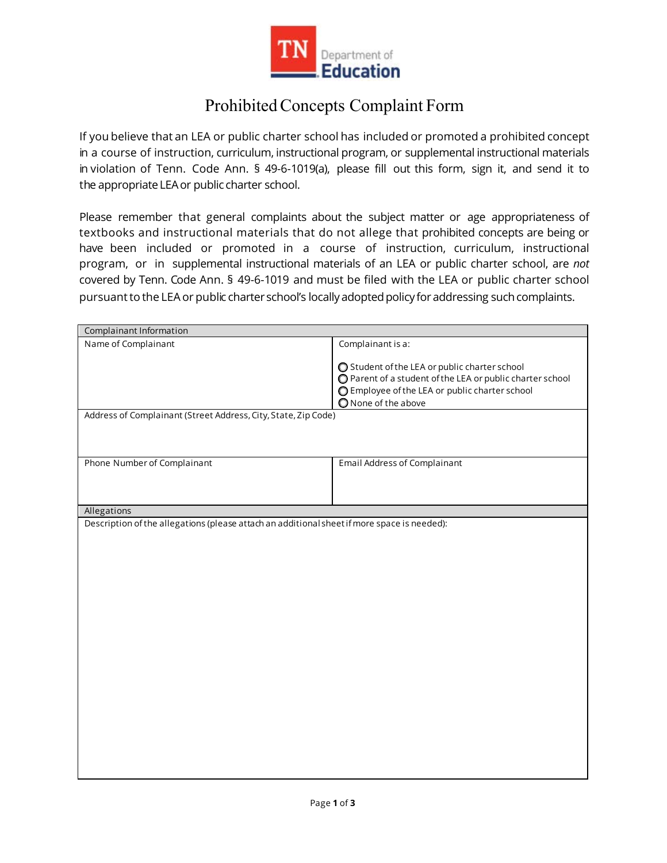

## Prohibited Concepts Complaint Form

If you believe that an LEA or public charter school has included or promoted a prohibited concept in a course of instruction, curriculum, instructional program, or supplemental instructional materials in violation of Tenn. Code Ann. § 49-6-1019(a), please fill out this form, sign it, and send it to the appropriate LEA or public charter school.

Please remember that general complaints about the subject matter or age appropriateness of textbooks and instructional materials that do not allege that prohibited concepts are being or have been included or promoted in a course of instruction, curriculum, instructional program, or in supplemental instructional materials of an LEA or public charter school, are *not*  covered by Tenn. Code Ann. § 49-6-1019 and must be filed with the LEA or public charter school pursuant to the LEA or public charter school's locally adopted policy for addressing such complaints.

| Complainant Information                                                                     |                                                                                                             |
|---------------------------------------------------------------------------------------------|-------------------------------------------------------------------------------------------------------------|
| Name of Complainant                                                                         | Complainant is a:                                                                                           |
|                                                                                             |                                                                                                             |
|                                                                                             | ◯ Student of the LEA or public charter school                                                               |
|                                                                                             | ○ Parent of a student of the LEA or public charter school<br>○ Employee of the LEA or public charter school |
|                                                                                             | O None of the above                                                                                         |
| Address of Complainant (Street Address, City, State, Zip Code)                              |                                                                                                             |
|                                                                                             |                                                                                                             |
|                                                                                             |                                                                                                             |
|                                                                                             |                                                                                                             |
| Phone Number of Complainant                                                                 | <b>Email Address of Complainant</b>                                                                         |
|                                                                                             |                                                                                                             |
|                                                                                             |                                                                                                             |
| Allegations                                                                                 |                                                                                                             |
| Description of the allegations (please attach an additional sheet if more space is needed): |                                                                                                             |
|                                                                                             |                                                                                                             |
|                                                                                             |                                                                                                             |
|                                                                                             |                                                                                                             |
|                                                                                             |                                                                                                             |
|                                                                                             |                                                                                                             |
|                                                                                             |                                                                                                             |
|                                                                                             |                                                                                                             |
|                                                                                             |                                                                                                             |
|                                                                                             |                                                                                                             |
|                                                                                             |                                                                                                             |
|                                                                                             |                                                                                                             |
|                                                                                             |                                                                                                             |
|                                                                                             |                                                                                                             |
|                                                                                             |                                                                                                             |
|                                                                                             |                                                                                                             |
|                                                                                             |                                                                                                             |
|                                                                                             |                                                                                                             |
|                                                                                             |                                                                                                             |
|                                                                                             |                                                                                                             |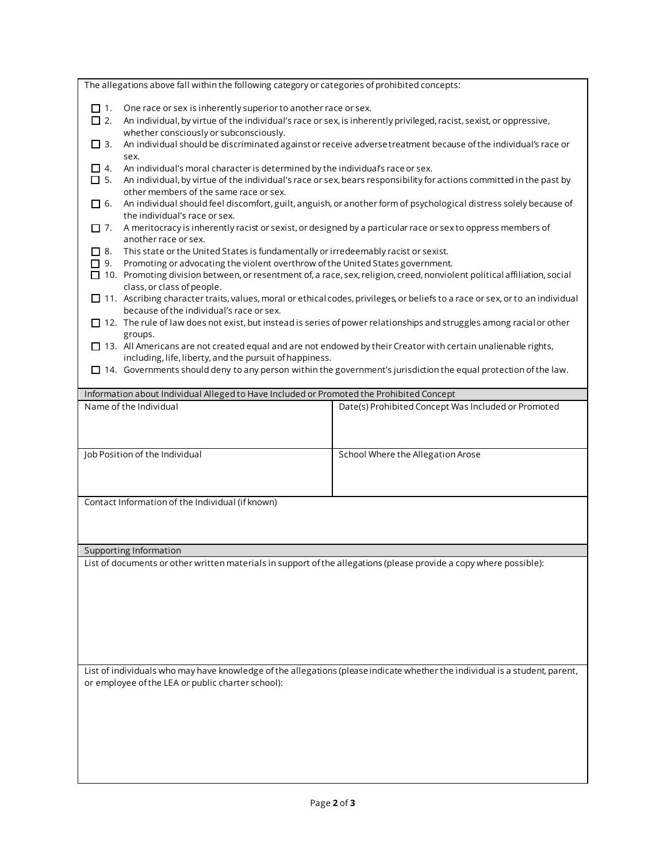| The allegations above fall within the following category or categories of prohibited concepts:                                                                                                                       |                                                                                                                             |  |
|----------------------------------------------------------------------------------------------------------------------------------------------------------------------------------------------------------------------|-----------------------------------------------------------------------------------------------------------------------------|--|
| One race or sex is inherently superior to another race or sex.<br>□ 1.                                                                                                                                               |                                                                                                                             |  |
| $\Box$ 2.                                                                                                                                                                                                            | An individual, by virtue of the individual's race or sex, is inherently privileged, racist, sexist, or oppressive,          |  |
| whether consciously or subconsciously.                                                                                                                                                                               |                                                                                                                             |  |
| $\Box$ 3.<br>An individual should be discriminated against or receive adverse treatment because of the individual's race or<br>sex.                                                                                  |                                                                                                                             |  |
| An individual's moral character is determined by the individual's race or sex.<br>$\Box$ 4.                                                                                                                          |                                                                                                                             |  |
| An individual, by virtue of the individual's race or sex, bears responsibility for actions committed in the past by<br>$\Box$ 5.                                                                                     |                                                                                                                             |  |
| other members of the same race or sex.                                                                                                                                                                               |                                                                                                                             |  |
| An individual should feel discomfort, guilt, anguish, or another form of psychological distress solely because of<br>$\Box$ 6.<br>the individual's race or sex.                                                      |                                                                                                                             |  |
| A meritocracy is inherently racist or sexist, or designed by a particular race or sex to oppress members of<br>$\Box$ 7.                                                                                             |                                                                                                                             |  |
| another race or sex.                                                                                                                                                                                                 |                                                                                                                             |  |
| $\Box$ 8.<br>This state or the United States is fundamentally or irredeemably racist or sexist.                                                                                                                      |                                                                                                                             |  |
| Promoting or advocating the violent overthrow of the United States government.<br>□ 9.<br>□ 10. Promoting division between, or resentment of, a race, sex, religion, creed, nonviolent political affiliation, social |                                                                                                                             |  |
| class, or class of people.                                                                                                                                                                                           |                                                                                                                             |  |
| □ 11. Ascribing character traits, values, moral or ethical codes, privileges, or beliefs to a race or sex, or to an individual                                                                                       |                                                                                                                             |  |
| because of the individual's race or sex.                                                                                                                                                                             |                                                                                                                             |  |
| $\square$ 12. The rule of law does not exist, but instead is series of power relationships and struggles among racial or other<br>groups.                                                                            |                                                                                                                             |  |
| $\Box$ 13. All Americans are not created equal and are not endowed by their Creator with certain unalienable rights,                                                                                                 |                                                                                                                             |  |
| including, life, liberty, and the pursuit of happiness.                                                                                                                                                              |                                                                                                                             |  |
| $\Box$ 14. Governments should deny to any person within the government's jurisdiction the equal protection of the law.                                                                                               |                                                                                                                             |  |
| Information about Individual Alleged to Have Included or Promoted the Prohibited Concept                                                                                                                             |                                                                                                                             |  |
| Name of the Individual                                                                                                                                                                                               | Date(s) Prohibited Concept Was Included or Promoted                                                                         |  |
|                                                                                                                                                                                                                      |                                                                                                                             |  |
|                                                                                                                                                                                                                      |                                                                                                                             |  |
| Job Position of the Individual                                                                                                                                                                                       | School Where the Allegation Arose                                                                                           |  |
|                                                                                                                                                                                                                      |                                                                                                                             |  |
|                                                                                                                                                                                                                      |                                                                                                                             |  |
| Contact Information of the Individual (if known)                                                                                                                                                                     |                                                                                                                             |  |
|                                                                                                                                                                                                                      |                                                                                                                             |  |
|                                                                                                                                                                                                                      |                                                                                                                             |  |
|                                                                                                                                                                                                                      |                                                                                                                             |  |
| <b>Supporting Information</b>                                                                                                                                                                                        |                                                                                                                             |  |
| List of documents or other written materials in support of the allegations (please provide a copy where possible):                                                                                                   |                                                                                                                             |  |
|                                                                                                                                                                                                                      |                                                                                                                             |  |
|                                                                                                                                                                                                                      |                                                                                                                             |  |
|                                                                                                                                                                                                                      |                                                                                                                             |  |
|                                                                                                                                                                                                                      |                                                                                                                             |  |
|                                                                                                                                                                                                                      |                                                                                                                             |  |
|                                                                                                                                                                                                                      |                                                                                                                             |  |
|                                                                                                                                                                                                                      |                                                                                                                             |  |
|                                                                                                                                                                                                                      | List of individuals who may have knowledge of the allegations (please indicate whether the individual is a student, parent, |  |
| or employee of the LEA or public charter school):                                                                                                                                                                    |                                                                                                                             |  |
|                                                                                                                                                                                                                      |                                                                                                                             |  |
|                                                                                                                                                                                                                      |                                                                                                                             |  |
|                                                                                                                                                                                                                      |                                                                                                                             |  |
|                                                                                                                                                                                                                      |                                                                                                                             |  |
|                                                                                                                                                                                                                      |                                                                                                                             |  |